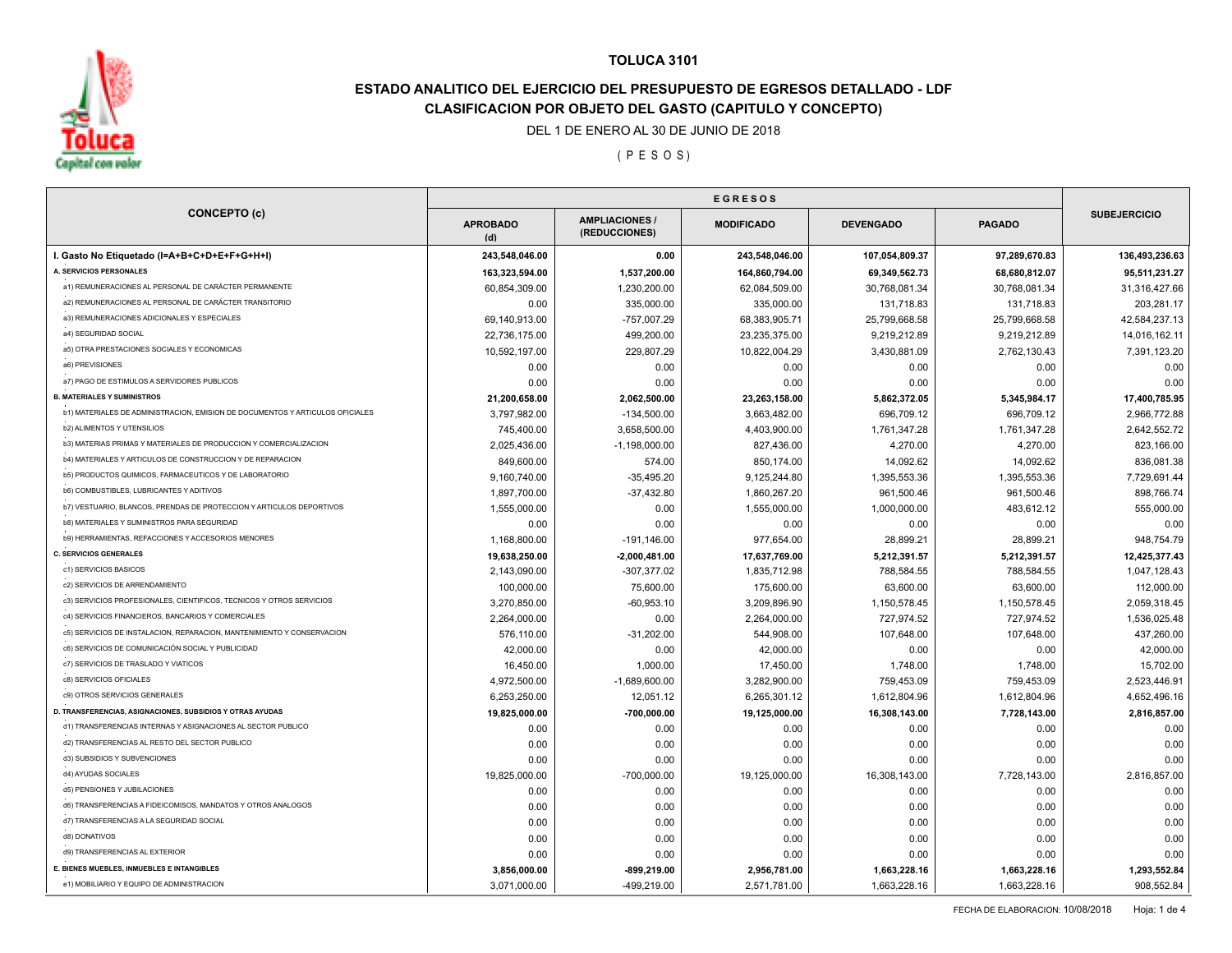

# **ESTADO ANALITICO DEL EJERCICIO DEL PRESUPUESTO DE EGRESOS DETALLADO - LDF CLASIFICACION POR OBJETO DEL GASTO (CAPITULO Y CONCEPTO)**

DEL 1 DE ENERO AL 30 DE JUNIO DE 2018

( P E S O S )

| <b>CONCEPTO (c)</b>                                                           | <b>APROBADO</b><br>(d) | <b>AMPLIACIONES /</b><br>(REDUCCIONES) | <b>MODIFICADO</b> | <b>DEVENGADO</b> | <b>PAGADO</b> | <b>SUBEJERCICIO</b> |
|-------------------------------------------------------------------------------|------------------------|----------------------------------------|-------------------|------------------|---------------|---------------------|
| I. Gasto No Etiquetado (I=A+B+C+D+E+F+G+H+I)                                  | 243,548,046.00         | 0.00                                   | 243,548,046.00    | 107,054,809.37   | 97,289,670.83 | 136,493,236.63      |
| A. SERVICIOS PERSONALES                                                       | 163,323,594.00         | 1,537,200.00                           | 164,860,794.00    | 69,349,562.73    | 68,680,812.07 | 95,511,231.27       |
| a1) REMUNERACIONES AL PERSONAL DE CARÁCTER PERMANENTE                         | 60,854,309.00          | 1,230,200.00                           | 62,084,509.00     | 30,768,081.34    | 30,768,081.34 | 31,316,427.66       |
| a2) REMUNERACIONES AL PERSONAL DE CARÁCTER TRANSITORIO                        | 0.00                   | 335,000.00                             | 335,000.00        | 131,718.83       | 131,718.83    | 203,281.17          |
| a3) REMUNERACIONES ADICIONALES Y ESPECIALES                                   | 69,140,913.00          | -757,007.29                            | 68,383,905.71     | 25,799,668.58    | 25,799,668.58 | 42,584,237.13       |
| a4) SEGURIDAD SOCIAL                                                          | 22,736,175.00          | 499,200.00                             | 23,235,375.00     | 9,219,212.89     | 9,219,212.89  | 14,016,162.11       |
| a5) OTRA PRESTACIONES SOCIALES Y ECONOMICAS                                   | 10,592,197.00          | 229,807.29                             | 10,822,004.29     | 3,430,881.09     | 2,762,130.43  | 7,391,123.20        |
| a6) PREVISIONES                                                               | 0.00                   | 0.00                                   | 0.00              | 0.00             | 0.00          | 0.00                |
| a7) PAGO DE ESTIMULOS A SERVIDORES PUBLICOS                                   | 0.00                   | 0.00                                   | 0.00              | 0.00             | 0.00          | 0.00                |
| <b>B. MATERIALES Y SUMINISTROS</b>                                            | 21,200,658.00          | 2,062,500.00                           | 23,263,158.00     | 5,862,372.05     | 5,345,984.17  | 17,400,785.95       |
| b1) MATERIALES DE ADMINISTRACION, EMISION DE DOCUMENTOS Y ARTICULOS OFICIALES | 3,797,982.00           | $-134,500.00$                          | 3,663,482.00      | 696,709.12       | 696,709.12    | 2,966,772.88        |
| b2) ALIMENTOS Y UTENSILIOS                                                    | 745,400.00             | 3,658,500.00                           | 4,403,900.00      | 1,761,347.28     | 1,761,347.28  | 2,642,552.72        |
| b3) MATERIAS PRIMAS Y MATERIALES DE PRODUCCION Y COMERCIALIZACION             | 2,025,436.00           | $-1,198,000.00$                        | 827,436.00        | 4,270.00         | 4,270.00      | 823,166.00          |
| b4) MATERIALES Y ARTICULOS DE CONSTRUCCION Y DE REPARACION                    | 849,600.00             | 574.00                                 | 850,174.00        | 14,092.62        | 14,092.62     | 836,081.38          |
| b5) PRODUCTOS QUIMICOS, FARMACEUTICOS Y DE LABORATORIO                        | 9,160,740.00           | $-35,495.20$                           | 9,125,244.80      | 1,395,553.36     | 1,395,553.36  | 7,729,691.44        |
| <b>b6) COMBUSTIBLES, LUBRICANTES Y ADITIVOS</b>                               | 1,897,700.00           | $-37,432.80$                           | 1,860,267.20      | 961,500.46       | 961,500.46    | 898,766.74          |
| b7) VESTUARIO, BLANCOS, PRENDAS DE PROTECCION Y ARTICULOS DEPORTIVOS          | 1,555,000.00           | 0.00                                   | 1,555,000.00      | 1,000,000.00     | 483,612.12    | 555,000.00          |
| b8) MATERIALES Y SUMINISTROS PARA SEGURIDAD                                   | 0.00                   | 0.00                                   | 0.00              | 0.00             | 0.00          | 0.00                |
| b9) HERRAMIENTAS, REFACCIONES Y ACCESORIOS MENORES                            | 1,168,800.00           | $-191, 146.00$                         | 977,654.00        | 28,899.21        | 28,899.21     | 948,754.79          |
| <b>C. SERVICIOS GENERALES</b>                                                 | 19,638,250.00          | $-2,000,481.00$                        | 17,637,769.00     | 5,212,391.57     | 5,212,391.57  | 12,425,377.43       |
| c1) SERVICIOS BASICOS                                                         | 2,143,090.00           | $-307,377.02$                          | 1,835,712.98      | 788,584.55       | 788,584.55    | 1,047,128.43        |
| c2) SERVICIOS DE ARRENDAMIENTO                                                | 100,000.00             | 75,600.00                              | 175,600.00        | 63,600.00        | 63,600.00     | 112,000.00          |
| c3) SERVICIOS PROFESIONALES, CIENTIFICOS, TECNICOS Y OTROS SERVICIOS          | 3,270,850.00           | $-60,953.10$                           | 3,209,896.90      | 1,150,578.45     | 1,150,578.45  | 2,059,318.45        |
| c4) SERVICIOS FINANCIEROS, BANCARIOS Y COMERCIALES                            | 2,264,000.00           | 0.00                                   | 2,264,000.00      | 727,974.52       | 727,974.52    | 1,536,025.48        |
| c5) SERVICIOS DE INSTALACION, REPARACION, MANTENIMIENTO Y CONSERVACION        | 576,110.00             | $-31,202.00$                           | 544,908.00        | 107,648.00       | 107,648.00    | 437,260.00          |
| c6) SERVICIOS DE COMUNICACIÓN SOCIAL Y PUBLICIDAD                             | 42,000.00              | 0.00                                   | 42,000.00         | 0.00             | 0.00          | 42,000.00           |
| c7) SERVICIOS DE TRASLADO Y VIATICOS                                          | 16,450.00              | 1,000.00                               | 17,450.00         | 1,748.00         | 1,748.00      | 15,702.00           |
| c8) SERVICIOS OFICIALES                                                       | 4,972,500.00           | $-1,689,600.00$                        | 3,282,900.00      | 759,453.09       | 759,453.09    | 2,523,446.91        |
| c9) OTROS SERVICIOS GENERALES                                                 | 6,253,250.00           | 12.051.12                              | 6,265,301.12      | 1,612,804.96     | 1,612,804.96  | 4,652,496.16        |
| D. TRANSFERENCIAS, ASIGNACIONES, SUBSIDIOS Y OTRAS AYUDAS                     | 19,825,000.00          | $-700,000.00$                          | 19,125,000.00     | 16,308,143.00    | 7,728,143.00  | 2,816,857.00        |
| d1) TRANSFERENCIAS INTERNAS Y ASIGNACIONES AL SECTOR PUBLICO                  | 0.00                   | 0.00                                   | 0.00              | 0.00             | 0.00          | 0.00                |
| d2) TRANSFERENCIAS AL RESTO DEL SECTOR PUBLICO                                | 0.00                   | 0.00                                   | 0.00              | 0.00             | 0.00          | 0.00                |
| d3) SUBSIDIOS Y SUBVENCIONES                                                  | 0.00                   | 0.00                                   | 0.00              | 0.00             | 0.00          | 0.00                |
| d4) AYUDAS SOCIALES                                                           | 19,825,000.00          | -700,000.00                            | 19,125,000.00     | 16,308,143.00    | 7,728,143.00  | 2,816,857.00        |
| d5) PENSIONES Y JUBILACIONES                                                  | 0.00                   | 0.00                                   | 0.00              | 0.00             | 0.00          | 0.00                |
| d6) TRANSFERENCIAS A FIDEICOMISOS, MANDATOS Y OTROS ANALOGOS                  | 0.00                   | 0.00                                   | 0.00              | 0.00             | 0.00          | 0.00                |
| d7) TRANSFERENCIAS A LA SEGURIDAD SOCIAL                                      | 0.00                   | 0.00                                   | 0.00              | 0.00             | 0.00          | 0.00                |
| d8) DONATIVOS                                                                 | 0.00                   | 0.00                                   | 0.00              | 0.00             | 0.00          | 0.00                |
| d9) TRANSFERENCIAS AL EXTERIOR                                                | 0.00                   | 0.00                                   | 0.00              | 0.00             | 0.00          | 0.00                |
| E. BIENES MUEBLES, INMUEBLES E INTANGIBLES                                    | 3,856,000.00           | $-899,219.00$                          | 2,956,781.00      | 1,663,228.16     | 1,663,228.16  | 1,293,552.84        |
| e1) MOBILIARIO Y EQUIPO DE ADMINISTRACION                                     | 3.071.000.00           | -499.219.00                            | 2.571.781.00      | 1,663,228.16     | 1,663,228.16  | 908,552.84          |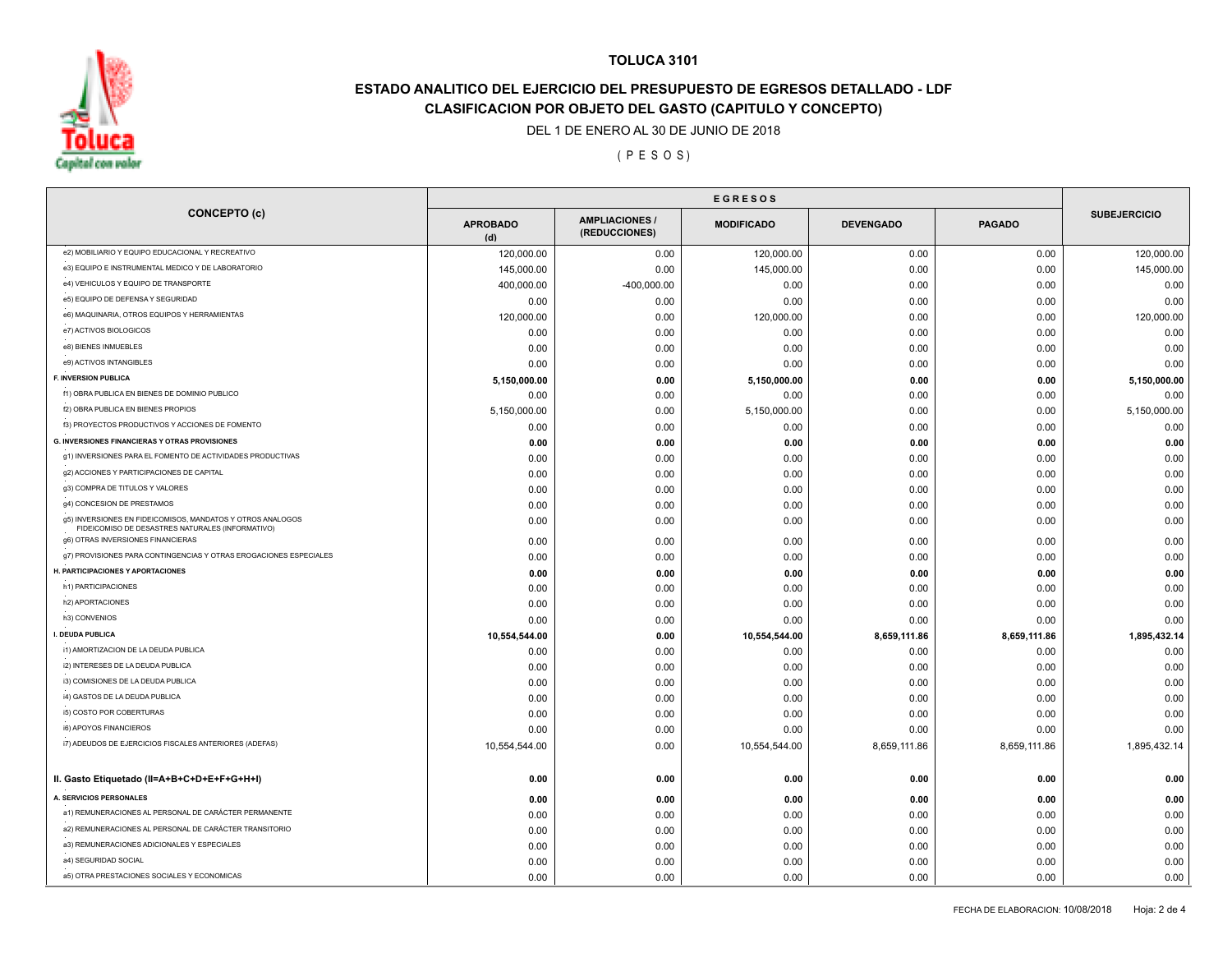

# **ESTADO ANALITICO DEL EJERCICIO DEL PRESUPUESTO DE EGRESOS DETALLADO - LDF CLASIFICACION POR OBJETO DEL GASTO (CAPITULO Y CONCEPTO)**

DEL 1 DE ENERO AL 30 DE JUNIO DE 2018

( P E S O S )

|                                                                                                                | <b>EGRESOS</b>         |                                      |                   |                  |               |                     |
|----------------------------------------------------------------------------------------------------------------|------------------------|--------------------------------------|-------------------|------------------|---------------|---------------------|
| <b>CONCEPTO (c)</b>                                                                                            | <b>APROBADO</b><br>(d) | <b>AMPLIACIONES</b><br>(REDUCCIONES) | <b>MODIFICADO</b> | <b>DEVENGADO</b> | <b>PAGADO</b> | <b>SUBEJERCICIO</b> |
| e2) MOBILIARIO Y EQUIPO EDUCACIONAL Y RECREATIVO                                                               | 120,000.00             | 0.00                                 | 120,000.00        | 0.00             | 0.00          | 120,000.00          |
| e3) EQUIPO E INSTRUMENTAL MEDICO Y DE LABORATORIO                                                              | 145,000.00             | 0.00                                 | 145,000.00        | 0.00             | 0.00          | 145,000.00          |
| e4) VEHICULOS Y EQUIPO DE TRANSPORTE                                                                           | 400,000.00             | $-400,000.00$                        | 0.00              | 0.00             | 0.00          | 0.00                |
| e5) EQUIPO DE DEFENSA Y SEGURIDAD                                                                              | 0.00                   | 0.00                                 | 0.00              | 0.00             | 0.00          | 0.00                |
| e6) MAQUINARIA, OTROS EQUIPOS Y HERRAMIENTAS                                                                   | 120,000.00             | 0.00                                 | 120,000.00        | 0.00             | 0.00          | 120,000.00          |
| e7) ACTIVOS BIOLOGICOS                                                                                         | 0.00                   | 0.00                                 | 0.00              | 0.00             | 0.00          | 0.00                |
| e8) BIENES INMUEBLES                                                                                           | 0.00                   | 0.00                                 | 0.00              | 0.00             | 0.00          | 0.00                |
| e9) ACTIVOS INTANGIBLES                                                                                        | 0.00                   | 0.00                                 | 0.00              | 0.00             | 0.00          | 0.00                |
| <b>F. INVERSION PUBLICA</b>                                                                                    | 5,150,000.00           | 0.00                                 | 5,150,000.00      | 0.00             | 0.00          | 5,150,000.00        |
| f1) OBRA PUBLICA EN BIENES DE DOMINIO PUBLICO                                                                  | 0.00                   | 0.00                                 | 0.00              | 0.00             | 0.00          | 0.00                |
| f2) OBRA PUBLICA EN BIENES PROPIOS                                                                             | 5,150,000.00           | 0.00                                 | 5,150,000.00      | 0.00             | 0.00          | 5,150,000.00        |
| f3) PROYECTOS PRODUCTIVOS Y ACCIONES DE FOMENTO                                                                | 0.00                   | 0.00                                 | 0.00              | 0.00             | 0.00          | 0.00                |
| <b>G. INVERSIONES FINANCIERAS Y OTRAS PROVISIONES</b>                                                          | 0.00                   | 0.00                                 | 0.00              | 0.00             | 0.00          | 0.00                |
| g1) INVERSIONES PARA EL FOMENTO DE ACTIVIDADES PRODUCTIVAS                                                     | 0.00                   | 0.00                                 | 0.00              | 0.00             | 0.00          | 0.00                |
| g2) ACCIONES Y PARTICIPACIONES DE CAPITAL                                                                      | 0.00                   | 0.00                                 | 0.00              | 0.00             | 0.00          | 0.00                |
| g3) COMPRA DE TITULOS Y VALORES                                                                                | 0.00                   | 0.00                                 | 0.00              | 0.00             | 0.00          | 0.00                |
| g4) CONCESION DE PRESTAMOS                                                                                     | 0.00                   | 0.00                                 | 0.00              | 0.00             | 0.00          | 0.00                |
| g5) INVERSIONES EN FIDEICOMISOS, MANDATOS Y OTROS ANALOGOS<br>FIDEICOMISO DE DESASTRES NATURALES (INFORMATIVO) | 0.00                   | 0.00                                 | 0.00              | 0.00             | 0.00          | 0.00                |
| g6) OTRAS INVERSIONES FINANCIERAS                                                                              | 0.00                   | 0.00                                 | 0.00              | 0.00             | 0.00          | 0.00                |
| g7) PROVISIONES PARA CONTINGENCIAS Y OTRAS EROGACIONES ESPECIALES                                              | 0.00                   | 0.00                                 | 0.00              | 0.00             | 0.00          | 0.00                |
| H. PARTICIPACIONES Y APORTACIONES                                                                              | 0.00                   | 0.00                                 | 0.00              | 0.00             | 0.00          | 0.00                |
| h1) PARTICIPACIONES                                                                                            | 0.00                   | 0.00                                 | 0.00              | 0.00             | 0.00          | 0.00                |
| h2) APORTACIONES                                                                                               | 0.00                   | 0.00                                 | 0.00              | 0.00             | 0.00          | 0.00                |
| h3) CONVENIOS                                                                                                  | 0.00                   | 0.00                                 | 0.00              | 0.00             | 0.00          | 0.00                |
| I. DEUDA PUBLICA                                                                                               | 10,554,544.00          | 0.00                                 | 10,554,544.00     | 8,659,111.86     | 8,659,111.86  | 1,895,432.14        |
| i1) AMORTIZACION DE LA DEUDA PUBLICA                                                                           | 0.00                   | 0.00                                 | 0.00              | 0.00             | 0.00          | 0.00                |
| i2) INTERESES DE LA DEUDA PUBLICA                                                                              | 0.00                   | 0.00                                 | 0.00              | 0.00             | 0.00          | 0.00                |
| i3) COMISIONES DE LA DEUDA PUBLICA                                                                             | 0.00                   | 0.00                                 | 0.00              | 0.00             | 0.00          | 0.00                |
| i4) GASTOS DE LA DEUDA PUBLICA                                                                                 | 0.00                   | 0.00                                 | 0.00              | 0.00             | 0.00          | 0.00                |
| i5) COSTO POR COBERTURAS                                                                                       | 0.00                   | 0.00                                 | 0.00              | 0.00             | 0.00          | 0.00                |
| i6) APOYOS FINANCIEROS                                                                                         | 0.00                   | 0.00                                 | 0.00              | 0.00             | 0.00          | 0.00                |
| i7) ADEUDOS DE EJERCICIOS FISCALES ANTERIORES (ADEFAS)                                                         | 10,554,544.00          | 0.00                                 | 10,554,544.00     | 8,659,111.86     | 8,659,111.86  | 1,895,432.14        |
| II. Gasto Etiquetado (II=A+B+C+D+E+F+G+H+I)                                                                    | 0.00                   | 0.00                                 | 0.00              | 0.00             | 0.00          | 0.00                |
| A. SERVICIOS PERSONALES                                                                                        | 0.00                   | 0.00                                 | 0.00              | 0.00             | 0.00          | 0.00                |
| a1) REMUNERACIONES AL PERSONAL DE CARÁCTER PERMANENTE                                                          | 0.00                   | 0.00                                 | 0.00              | 0.00             | 0.00          | 0.00                |
| a2) REMUNERACIONES AL PERSONAL DE CARÁCTER TRANSITORIO                                                         | 0.00                   | 0.00                                 | 0.00              | 0.00             | 0.00          | 0.00                |
| a3) REMUNERACIONES ADICIONALES Y ESPECIALES                                                                    | 0.00                   | 0.00                                 | 0.00              | 0.00             | 0.00          | 0.00                |
| a4) SEGURIDAD SOCIAL                                                                                           | 0.00                   | 0.00                                 | 0.00              | 0.00             | 0.00          | 0.00                |
| a5) OTRA PRESTACIONES SOCIALES Y ECONOMICAS                                                                    | 0.00                   | 0.00                                 | 0.00              | 0.00             | 0.00          | 0.00                |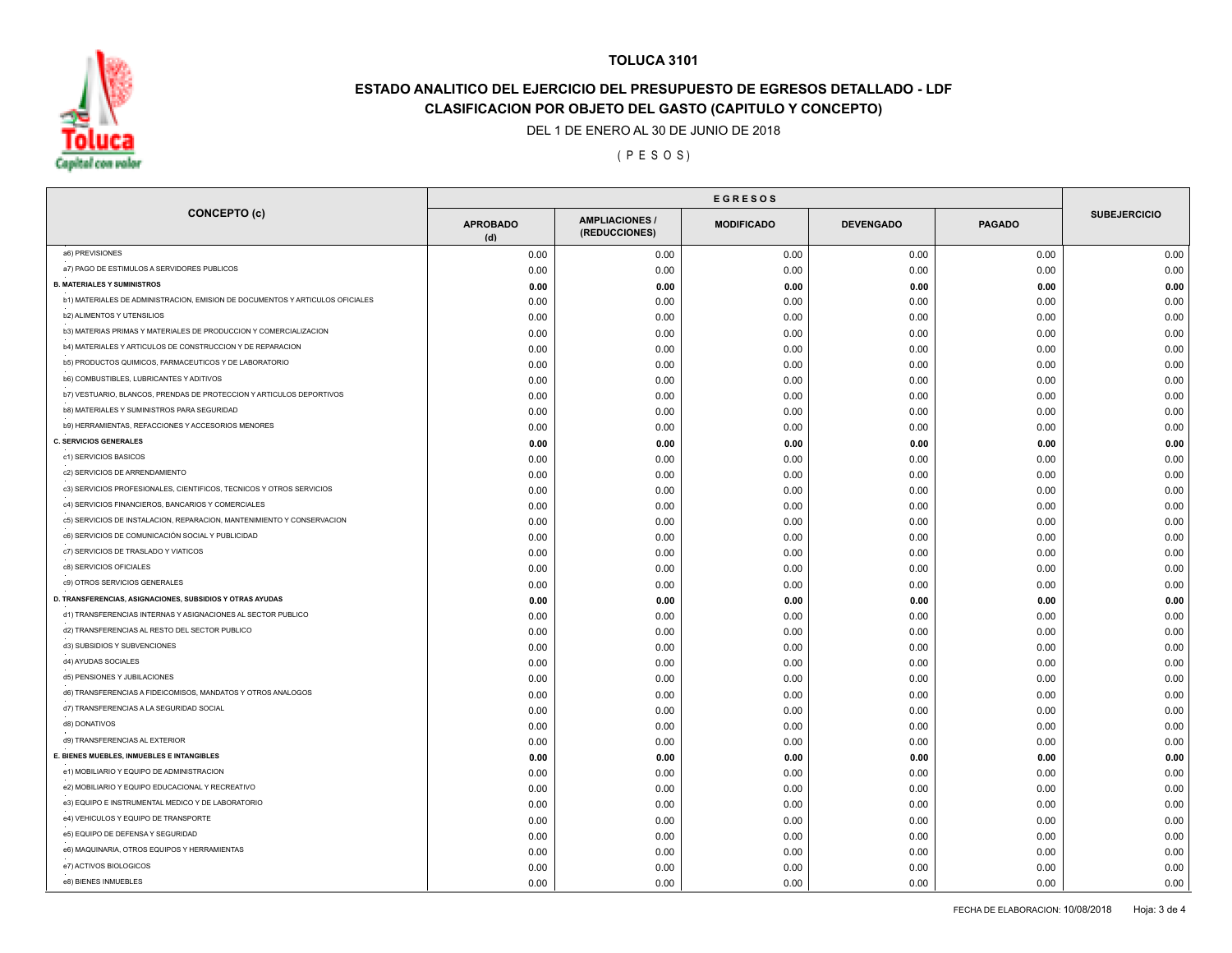

# **ESTADO ANALITICO DEL EJERCICIO DEL PRESUPUESTO DE EGRESOS DETALLADO - LDF CLASIFICACION POR OBJETO DEL GASTO (CAPITULO Y CONCEPTO)**

DEL 1 DE ENERO AL 30 DE JUNIO DE 2018

( P E S O S )

| <b>CONCEPTO (c)</b>                                                           | <b>APROBADO</b><br>(d) | <b>AMPLIACIONES/</b><br>(REDUCCIONES) | <b>MODIFICADO</b> | <b>DEVENGADO</b> | <b>PAGADO</b> | <b>SUBEJERCICIO</b> |
|-------------------------------------------------------------------------------|------------------------|---------------------------------------|-------------------|------------------|---------------|---------------------|
| a6) PREVISIONES                                                               | 0.00                   | 0.00                                  | 0.00              | 0.00             | 0.00          | 0.00                |
| a7) PAGO DE ESTIMULOS A SERVIDORES PUBLICOS                                   | 0.00                   | 0.00                                  | 0.00              | 0.00             | 0.00          | 0.00                |
| <b>B. MATERIALES Y SUMINISTROS</b>                                            | 0.00                   | 0.00                                  | 0.00              | 0.00             | 0.00          | 0.00                |
| b1) MATERIALES DE ADMINISTRACION, EMISION DE DOCUMENTOS Y ARTICULOS OFICIALES | 0.00                   | 0.00                                  | 0.00              | 0.00             | 0.00          | 0.00                |
| <b>b2) ALIMENTOS Y UTENSILIOS</b>                                             | 0.00                   | 0.00                                  | 0.00              | 0.00             | 0.00          | 0.00                |
| b3) MATERIAS PRIMAS Y MATERIALES DE PRODUCCION Y COMERCIALIZACION             | 0.00                   | 0.00                                  | 0.00              | 0.00             | 0.00          | 0.00                |
| b4) MATERIALES Y ARTICULOS DE CONSTRUCCION Y DE REPARACION                    | 0.00                   | 0.00                                  | 0.00              | 0.00             | 0.00          | 0.00                |
| b5) PRODUCTOS QUIMICOS, FARMACEUTICOS Y DE LABORATORIO                        | 0.00                   | 0.00                                  | 0.00              | 0.00             | 0.00          | 0.00                |
| b6) COMBUSTIBLES, LUBRICANTES Y ADITIVOS                                      | 0.00                   | 0.00                                  | 0.00              | 0.00             | 0.00          | 0.00                |
| b7) VESTUARIO, BLANCOS, PRENDAS DE PROTECCION Y ARTICULOS DEPORTIVOS          | 0.00                   | 0.00                                  | 0.00              | 0.00             | 0.00          | 0.00                |
| b8) MATERIALES Y SUMINISTROS PARA SEGURIDAD                                   | 0.00                   | 0.00                                  | 0.00              | 0.00             | 0.00          | 0.00                |
| b9) HERRAMIENTAS, REFACCIONES Y ACCESORIOS MENORES                            | 0.00                   | 0.00                                  | 0.00              | 0.00             | 0.00          | 0.00                |
| <b>C. SERVICIOS GENERALES</b>                                                 | 0.00                   | 0.00                                  | 0.00              | 0.00             | 0.00          | 0.00                |
| c1) SERVICIOS BASICOS                                                         | 0.00                   | 0.00                                  | 0.00              | 0.00             | 0.00          | 0.00                |
| c2) SERVICIOS DE ARRENDAMIENTO                                                | 0.00                   | 0.00                                  | 0.00              | 0.00             | 0.00          | 0.00                |
| c3) SERVICIOS PROFESIONALES, CIENTIFICOS, TECNICOS Y OTROS SERVICIOS          | 0.00                   | 0.00                                  | 0.00              | 0.00             | 0.00          | 0.00                |
| c4) SERVICIOS FINANCIEROS, BANCARIOS Y COMERCIALES                            | 0.00                   | 0.00                                  | 0.00              | 0.00             | 0.00          | 0.00                |
| c5) SERVICIOS DE INSTALACION, REPARACION, MANTENIMIENTO Y CONSERVACION        | 0.00                   | 0.00                                  | 0.00              | 0.00             | 0.00          | 0.00                |
| c6) SERVICIOS DE COMUNICACIÓN SOCIAL Y PUBLICIDAD                             | 0.00                   | 0.00                                  | 0.00              | 0.00             | 0.00          | 0.00                |
| c7) SERVICIOS DE TRASLADO Y VIATICOS                                          | 0.00                   | 0.00                                  | 0.00              | 0.00             | 0.00          | 0.00                |
| c8) SERVICIOS OFICIALES                                                       | 0.00                   | 0.00                                  | 0.00              | 0.00             | 0.00          | 0.00                |
| c9) OTROS SERVICIOS GENERALES                                                 | 0.00                   | 0.00                                  | 0.00              | 0.00             | 0.00          | 0.00                |
| D. TRANSFERENCIAS, ASIGNACIONES, SUBSIDIOS Y OTRAS AYUDAS                     | 0.00                   | 0.00                                  | 0.00              | 0.00             | 0.00          | 0.00                |
| d1) TRANSFERENCIAS INTERNAS Y ASIGNACIONES AL SECTOR PUBLICO                  | 0.00                   | 0.00                                  | 0.00              | 0.00             | 0.00          | 0.00                |
| d2) TRANSFERENCIAS AL RESTO DEL SECTOR PUBLICO                                | 0.00                   | 0.00                                  | 0.00              | 0.00             | 0.00          | 0.00                |
| d3) SUBSIDIOS Y SUBVENCIONES                                                  | 0.00                   | 0.00                                  | 0.00              | 0.00             | 0.00          | 0.00                |
| d4) AYUDAS SOCIALES                                                           | 0.00                   | 0.00                                  | 0.00              | 0.00             | 0.00          | 0.00                |
| d5) PENSIONES Y JUBILACIONES                                                  | 0.00                   | 0.00                                  | 0.00              | 0.00             | 0.00          | 0.00                |
| d6) TRANSFERENCIAS A FIDEICOMISOS, MANDATOS Y OTROS ANALOGOS                  | 0.00                   | 0.00                                  | 0.00              | 0.00             | 0.00          | 0.00                |
| d7) TRANSFERENCIAS A LA SEGURIDAD SOCIAL                                      | 0.00                   | 0.00                                  | 0.00              | 0.00             | 0.00          | 0.00                |
| d8) DONATIVOS                                                                 | 0.00                   | 0.00                                  | 0.00              | 0.00             | 0.00          | 0.00                |
| d9) TRANSFERENCIAS AL EXTERIOR                                                | 0.00                   | 0.00                                  | 0.00              | 0.00             | 0.00          | 0.00                |
| E. BIENES MUEBLES, INMUEBLES E INTANGIBLES                                    | 0.00                   | 0.00                                  | 0.00              | 0.00             | 0.00          | 0.00                |
| e1) MOBILIARIO Y EQUIPO DE ADMINISTRACION                                     | 0.00                   | 0.00                                  | 0.00              | 0.00             | 0.00          | 0.00                |
| e2) MOBILIARIO Y EQUIPO EDUCACIONAL Y RECREATIVO                              | 0.00                   | 0.00                                  | 0.00              | 0.00             | 0.00          | 0.00                |
| e3) EQUIPO E INSTRUMENTAL MEDICO Y DE LABORATORIO                             | 0.00                   | 0.00                                  | 0.00              | 0.00             | 0.00          | 0.00                |
| e4) VEHICULOS Y EQUIPO DE TRANSPORTE                                          | 0.00                   | 0.00                                  | 0.00              | 0.00             | 0.00          | 0.00                |
| e5) EQUIPO DE DEFENSA Y SEGURIDAD                                             | 0.00                   | 0.00                                  | 0.00              | 0.00             | 0.00          | 0.00                |
| e6) MAQUINARIA, OTROS EQUIPOS Y HERRAMIENTAS                                  | 0.00                   | 0.00                                  | 0.00              | 0.00             | 0.00          | 0.00                |
| e7) ACTIVOS BIOLOGICOS                                                        | 0.00                   | 0.00                                  | 0.00              | 0.00             | 0.00          | 0.00                |
| e8) BIENES INMUEBLES                                                          | 0.00                   | 0.00                                  | 0.00              | 0.00             | 0.00          | 0.00                |